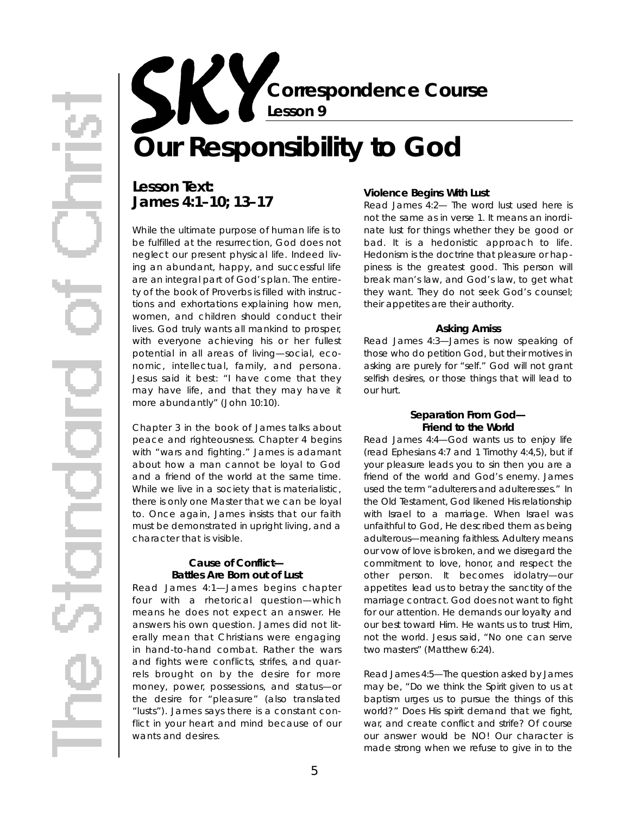**Correspondence Course Lesson 9**

# **Our Responsibility to God**

## Lesson Text: **James 4:1–10; 13–17**

While the ultimate purpose of human life is to be fulfilled at the resurrection, God does not neglect our present physical life. Indeed living an abundant, happy, and successful life are an integral part of God's plan. The entirety of the book of Proverbs is filled with instructions and exhortations explaining how men, women, and children should conduct their lives. God truly wants all mankind to prosper, with everyone achieving his or her fullest potential in all areas of living—social, economic, intellectual, family, and persona. Jesus said it best: "I have come that they may have life, and that they may have it more abundantly" (John 10:10).

Chapter 3 in the book of James talks about peace and righteousness. Chapter 4 begins with "wars and fighting." James is adamant about how a man cannot be loyal to God and a friend of the world at the same time. While we live in a society that is materialistic. there is only one Master that we can be loyal to. Once again, James insists that our faith must be demonstrated in upright living, and a character that is visible.

#### **Cause of Conflict— Battles Are Born out of Lust**

*Read James 4:1*—James begins chapter four with a rhetorical question—which means he does not expect an answer. He answers his own question. James did not literally mean that Christians were engaging in hand-to-hand combat. Rather the wars and fights were conflicts, strifes, and quarrels brought on by the desire for *more* money, power, possessions, and status—or the desire for "pleasure" (also translated "lusts"). James says there is a *constant* conflict in your heart and mind because of our wants and desires.

#### **Violence Begins With Lust**

*Read James 4:2*— The word *lust* used here is not the same as in verse 1. It means an inordinate lust for things whether they be good or bad. It is a hedonistic approach to life. *Hedonism* is the doctrine that pleasure or happiness is the greatest good. This person will break man's law, and God's law, to get what they want. They do not seek God's counsel; their appetites are their authority.

#### **Asking Amiss**

*Read James 4:3*—James is now speaking of those who do petition God, but their motives in asking are purely for "self." God will not grant selfish desires, or those things that will lead to our hurt.

#### **Separation From God— Friend to the World**

*Read James 4:4*—God wants us to enjoy life ( read Ephesians 4:7 and 1 Timothy 4:4,5), but if your pleasure leads you to sin then you are a friend of the world and God's enemy. James used the term "adulterers and adulteresses." In the Old Testament, God likened His relationship with Israel to a marriage. When Israel was unfaithful to God, He described them as being a dulterous—meaning *faithless*. Adultery means our vow of love is broken, and we disregard the commitment to love, honor, and respect the other person. It becomes idolatry—our *appetites* lead us to betray the sanctity of the marriage contract. God does not want to fight for our attention. He demands our loyalty and our best toward Him. He wants us to trust Him, not the world. Jesus said, "No one can serve two masters" (Matthew 6:24).

*Read James 4:5*—The question asked by James may be, "Do we think the Spirit given to us at baptism urges us to pursue the things of this world?" Does His spirit demand that we fight, war, and create conflict and strife? Of course our answer would be NO! Our character is made strong when we refuse to give in to the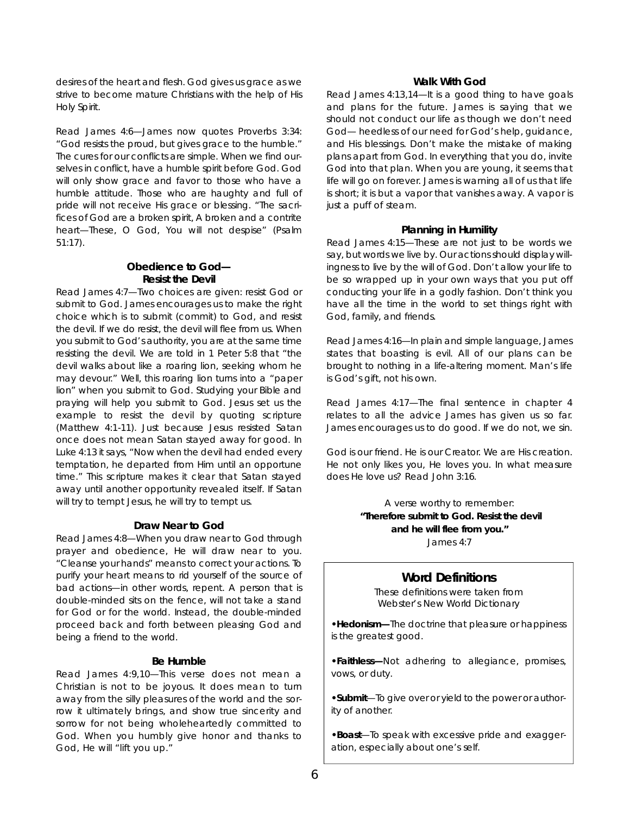desires of the heart and flesh. God gives us *grace* as we strive to become mature Christians with the help of His Holy Spirit.

*Read James 4:6*—James now quotes Proverbs 3:34: "God resists the proud, but gives grace to the humble." The cures for our conflicts are simple. When we find ourselves in conflict, have a humble spirit before God. God will only show grace and favor to those who have a humble attitude. Those who are haughty and full of pride will not receive His grace or blessing. "The sacrifices of God are a broken spirit, A broken and a contrite heart—These, O God, You will not despise" (Psalm  $51:17$ ).

#### **Obedience to God— Resist the Devil**

*Read James 4:7*— Two choices are given: resist God or submit to God. James encourages us to make the right choice which is to submit (commit) to God, and resist the devil. If we do resist, the devil will *flee* from us. When you submit to God's authority, you are at the same time resisting the devil. We are told in 1 Peter 5:8 that "the devil walks about like a roaring lion, seeking whom he may devour." Well, this roaring lion turns into a "paper lion" when you submit to God. Studying your Bible and praying will help you submit to God. Jesus set us the example to resist the devil by quoting scripture (Matthew 4:1-11). Just because Jesus resisted Satan once does not mean Satan stayed away for good. In Luke 4:13 it says, "Now when the devil had ended every temptation, he departed from Him until an *opportune* time." This scripture makes it clear that Satan stayed away until another opportunity revealed itself. If Satan will try to tempt Jesus, he will try to tempt us.

#### **Draw Near to God**

*Read James 4:8*—When you draw near to God through prayer and obedience, He will draw near to you. "Cleanse your hands" means to correct your actions. To purify your heart means to rid yourself of the source of bad actions—in other words, repent. A person that is double-minded sits on the fence, will not take a stand for God or for the world. Instead, the double-minded proceed back and forth between pleasing God and being a friend to the world.

#### **Be Humble**

*Read James 4:9,10*—This verse does not mean a Christian is not to be joyous. It does mean to turn away from the silly pleasures of the world and the sorrow it ultimately brings, and show true sincerity and sorrow for not being wholeheartedly committed to God. When you humbly give honor and thanks to God, He will "lift you up."

#### **Walk With God**

*Read James 4:13,14*—It is a good thing to have goals and plans for the future. James is saying that we should not conduct our life as though we don't need God— heedless of our need for God's help, guidance, and His blessings. Don't make the mistake of making plans apart from God. In everything that you do, invite God into that plan. When you are young, it seems that life will go on forever. James is warning all of us that life is short; it is but a vapor that vanishes away. A vapor is just a puff of steam.

#### **Planning in Humility**

*Read James 4:15*—These are not just to be words we say, but words we live by. Our actions should display willingness to live by the will of God. Don't allow your life to be so wrapped up in your own ways that you put off conducting your life in a godly fashion. Don't think you have all the time in the world to set things right with God, family, and friends.

*Read James 4:16*—In plain and simple language, James states that boasting is evil. All of our plans can be brought to nothing in a life-altering moment. Man's life is God's gift, not his own.

*Read James 4:17*—The final sentence in chapter 4 relates to all the advice James has given us so far. James encourages us to do good. If we do not, we sin.

God is our friend. He is our Creator. We are His creation. He not only likes you, He loves you. In what measure does He love us? Read John 3:16.

> A verse worthy to remember: "Therefore submit to God. Resist the devil **and he will flee from you."** James 4:7

#### **Word Definitions**

These definitions were taken from *Webster's New World Dictionary*

• Hedonism—The doctrine that pleasure or happiness is the greatest good.

**• Faithless—Not adhering to allegiance, promises,** vows, or duty.

• Submit—To give over or yield to the power or authority of another.

• Boast-To speak with excessive pride and exaggeration, especially about one's self.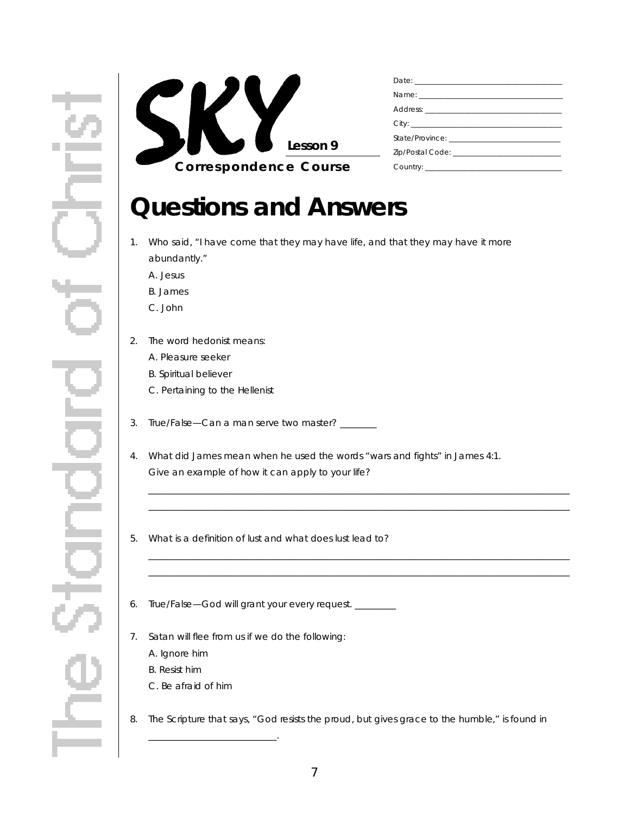

## **Questions and Answers**

- 1. Who said, "I have come that they may have life, and that they may have it more abundantly."
	- A. Jesus
	- B. James
	- C. John
- 2. The word *hedonist* means:
	- A. Pleasure seeker
	- B. Spiritual believer
	- C. Pertaining to the Hellenist
- 3. True/False-Can a man serve two master?
- 4 . What did James mean when he used the words "wars and fights" in James 4:1. Give an example of how it can apply to your life?

\_ \_ \_ \_ \_ \_ \_ \_ \_ \_ \_ \_ \_ \_ \_ \_ \_ \_ \_ \_ \_ \_ \_ \_ \_ \_ \_ \_ \_ \_ \_ \_ \_ \_ \_ \_ \_ \_ \_ \_ \_ \_ \_ \_ \_ \_ \_ \_ \_ \_ \_ \_ \_ \_ \_ \_ \_ \_ \_ \_ \_ \_ \_ \_ \_ \_ \_ \_ \_ \_ \_ \_ \_ \_ \_ \_ \_ \_ \_ \_ \_ \_ \_ \_ \_ \_ \_ \_ \_ \_ \_ \_ \_\_\_\_\_\_\_\_\_\_\_\_\_\_\_\_\_\_\_\_\_\_\_\_\_\_\_\_\_\_\_\_\_\_\_\_\_\_\_\_\_\_\_\_\_\_\_\_\_\_\_\_\_\_\_\_\_\_\_\_\_\_\_\_\_\_\_\_\_\_\_\_\_\_\_\_\_\_\_\_\_\_\_\_\_\_\_\_\_\_\_\_

\_ \_ \_ \_ \_ \_ \_ \_ \_ \_ \_ \_ \_ \_ \_ \_ \_ \_ \_ \_ \_ \_ \_ \_ \_ \_ \_ \_ \_ \_ \_ \_ \_ \_ \_ \_ \_ \_ \_ \_ \_ \_ \_ \_ \_ \_ \_ \_ \_ \_ \_ \_ \_ \_ \_ \_ \_ \_ \_ \_ \_ \_ \_ \_ \_ \_ \_ \_ \_ \_ \_ \_ \_ \_ \_ \_ \_ \_ \_ \_ \_ \_ \_ \_ \_ \_ \_ \_ \_ \_ \_ \_ \_ \_ \_ \_ \_ \_ \_ \_ \_ \_ \_ \_ \_ \_ \_ \_ \_ \_ \_ \_ \_ \_ \_ \_ \_ \_ \_ \_ \_ \_ \_ \_ \_ \_ \_ \_ \_ \_ \_ \_ \_ \_ \_ \_ \_ \_ \_ \_ \_ \_ \_ \_ \_ \_ \_ \_ \_ \_ \_ \_ \_ \_ \_ \_ \_ \_ \_ \_ \_ \_ \_ \_ \_ \_ \_ \_ \_ \_ \_ \_ \_ \_ \_ \_ \_ \_ \_ \_ \_ \_ \_ \_

- 5 . What is a definition of lust and what does lust lead to?
- 6. True/False-God will grant your every request. \_\_\_\_\_\_\_\_
- 7. Satan will *flee* from us if we do the following:
	- A. Ignore him
	- B. Resist him
	- C. Be afraid of him

\_ \_ \_ \_ \_ \_ \_ \_ \_ \_ \_ \_ \_ \_ \_ \_ \_ \_ \_ \_ \_ \_ \_ \_ \_ \_ \_ \_ .

8. The Scripture that says, "God resists the proud, but gives grace to the humble," is found in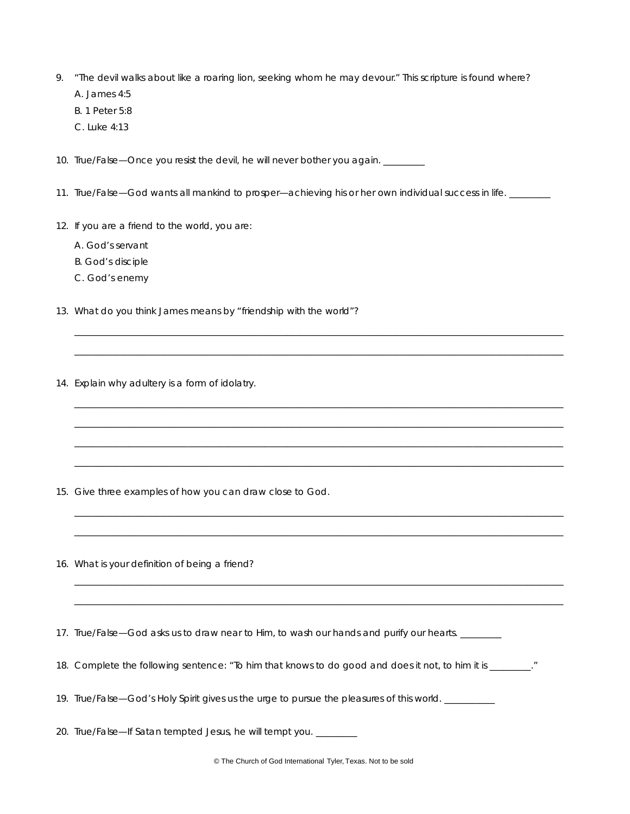- 9. "The devil walks about like a roaring lion, seeking whom he may devour." This scripture is found where? A. James 4:5
	- B. 1 Peter 5:8
	- C. Luke 4:13

10. True/False-Once you resist the devil, he will never bother you again. \_\_\_\_\_\_\_

11. True/False—God wants all mankind to prosper—achieving his or her own individual success in life. \_\_\_\_\_\_\_\_

\_ \_ \_ \_ \_ \_ \_ \_ \_ \_ \_ \_ \_ \_ \_ \_ \_ \_ \_ \_ \_ \_ \_ \_ \_ \_ \_ \_ \_ \_ \_ \_ \_ \_ \_ \_ \_ \_ \_ \_ \_ \_ \_ \_ \_ \_ \_ \_ \_ \_ \_ \_ \_ \_ \_ \_ \_ \_ \_ \_ \_ \_ \_ \_ \_ \_ \_ \_ \_ \_ \_ \_ \_ \_ \_ \_ \_ \_ \_ \_ \_ \_ \_ \_ \_ \_ \_ \_ \_ \_ \_ \_ \_ \_ \_ \_ \_ \_ \_ \_ \_ \_ \_ \_ \_ \_ \_ \_ \_ \_ \_ \_ \_ \_ \_ \_ \_ \_ \_ \_ \_ \_ \_ \_ \_ \_ \_ \_ \_ \_ \_ \_ \_ \_ \_ \_ \_ \_ \_ \_ \_ \_ \_ \_ \_ \_ \_ \_ \_ \_ \_ \_ \_ \_ \_ \_ \_ \_ \_ \_ \_ \_ \_ \_ \_ \_ \_ \_ \_ \_ \_ \_ \_ \_ \_ \_ \_ \_ \_ \_ \_ \_ \_ \_ \_ \_ \_ \_ \_ \_ \_ \_ \_ \_ \_ \_ \_ \_ \_ \_ \_ \_ \_ \_ \_ \_ \_ \_ \_ \_ \_ \_ \_ \_ \_ \_

\_ \_ \_ \_ \_ \_ \_ \_ \_ \_ \_ \_ \_ \_ \_ \_ \_ \_ \_ \_ \_ \_ \_ \_ \_ \_ \_ \_ \_ \_ \_ \_ \_ \_ \_ \_ \_ \_ \_ \_ \_ \_ \_ \_ \_ \_ \_ \_ \_ \_ \_ \_ \_ \_ \_ \_ \_ \_ \_ \_ \_ \_ \_ \_ \_ \_ \_ \_ \_ \_ \_ \_ \_ \_ \_ \_ \_ \_ \_ \_ \_ \_ \_ \_ \_ \_ \_ \_ \_ \_ \_ \_ \_ \_ \_ \_ \_ \_ \_ \_ \_ \_ \_ \_ \_ \_ \_ \_ \_ \_ \_ \_ \_ \_ \_ \_ \_ \_ \_ \_ \_ \_ \_ \_ \_ \_ \_ \_ \_ \_ \_ \_ \_ \_ \_ \_ \_ \_ \_ \_ \_ \_ \_ \_ \_ \_ \_ \_ \_ \_ \_ \_ \_ \_ \_ \_ \_ \_ \_ \_ \_ \_ \_ \_ \_ \_ \_ \_ \_ \_ \_ \_ \_ \_ \_ \_ \_ \_ \_ \_ \_ \_ \_ \_ \_ \_ \_ \_ \_ \_ \_ \_ \_ \_ \_ \_ \_ \_ \_ \_ \_ \_ \_ \_ \_ \_ \_ \_ \_ \_ \_ \_ \_ \_ \_ \_ \_\_\_\_\_\_\_\_\_\_\_\_\_\_\_\_\_\_\_\_\_\_\_\_\_\_\_\_\_\_\_\_\_\_\_\_\_\_\_\_\_\_\_\_\_\_\_\_\_\_\_\_\_\_\_\_\_\_\_\_\_\_\_\_\_\_\_\_\_\_\_\_\_\_\_\_\_\_\_\_\_\_\_\_\_\_\_\_\_\_\_\_\_\_\_\_\_\_\_\_\_\_\_\_\_\_\_\_ \_ \_ \_ \_ \_ \_ \_ \_ \_ \_ \_ \_ \_ \_ \_ \_ \_ \_ \_ \_ \_ \_ \_ \_ \_ \_ \_ \_ \_ \_ \_ \_ \_ \_ \_ \_ \_ \_ \_ \_ \_ \_ \_ \_ \_ \_ \_ \_ \_ \_ \_ \_ \_ \_ \_ \_ \_ \_ \_ \_ \_ \_ \_ \_ \_ \_ \_ \_ \_ \_ \_ \_ \_ \_ \_ \_ \_ \_ \_ \_ \_ \_ \_ \_ \_ \_ \_ \_ \_ \_ \_ \_ \_ \_ \_ \_ \_ \_ \_ \_ \_ \_ \_ \_ \_ \_ \_ \_

\_ \_ \_ \_ \_ \_ \_ \_ \_ \_ \_ \_ \_ \_ \_ \_ \_ \_ \_ \_ \_ \_ \_ \_ \_ \_ \_ \_ \_ \_ \_ \_ \_ \_ \_ \_ \_ \_ \_ \_ \_ \_ \_ \_ \_ \_ \_ \_ \_ \_ \_ \_ \_ \_ \_ \_ \_ \_ \_ \_ \_ \_ \_ \_ \_ \_ \_ \_ \_ \_ \_ \_ \_ \_ \_ \_ \_ \_ \_ \_ \_ \_ \_ \_ \_ \_ \_ \_ \_ \_ \_ \_ \_ \_ \_ \_ \_ \_ \_ \_ \_ \_ \_ \_ \_ \_ \_ \_ \_ \_ \_ \_ \_ \_ \_ \_ \_ \_ \_ \_ \_ \_ \_ \_ \_ \_ \_ \_ \_ \_ \_ \_ \_ \_ \_ \_ \_ \_ \_ \_ \_ \_ \_ \_ \_ \_ \_ \_ \_ \_ \_ \_ \_ \_ \_ \_ \_ \_ \_ \_ \_ \_ \_ \_ \_ \_ \_ \_ \_ \_ \_ \_ \_ \_ \_ \_ \_ \_ \_ \_ \_ \_ \_ \_ \_ \_ \_ \_ \_ \_ \_ \_ \_ \_ \_ \_ \_ \_ \_ \_ \_ \_ \_ \_ \_ \_ \_ \_ \_ \_ \_ \_ \_ \_ \_ \_

\_ \_ \_ \_ \_ \_ \_ \_ \_ \_ \_ \_ \_ \_ \_ \_ \_ \_ \_ \_ \_ \_ \_ \_ \_ \_ \_ \_ \_ \_ \_ \_ \_ \_ \_ \_ \_ \_ \_ \_ \_ \_ \_ \_ \_ \_ \_ \_ \_ \_ \_ \_ \_ \_ \_ \_ \_ \_ \_ \_ \_ \_ \_ \_ \_ \_ \_ \_ \_ \_ \_ \_ \_ \_ \_ \_ \_ \_ \_ \_ \_ \_ \_ \_ \_ \_ \_ \_ \_ \_ \_ \_ \_ \_ \_ \_ \_ \_ \_ \_ \_ \_ \_ \_ \_ \_ \_ \_ \_ \_ \_ \_ \_ \_ \_ \_ \_ \_ \_ \_ \_ \_ \_ \_ \_ \_ \_ \_ \_ \_ \_ \_ \_ \_ \_ \_ \_ \_ \_ \_ \_ \_ \_ \_ \_ \_ \_ \_ \_ \_ \_ \_ \_ \_ \_ \_ \_ \_ \_ \_ \_ \_ \_ \_ \_ \_ \_ \_ \_ \_ \_ \_ \_ \_ \_ \_ \_ \_ \_ \_ \_ \_ \_ \_ \_ \_ \_ \_ \_ \_ \_ \_ \_ \_ \_ \_ \_ \_ \_ \_ \_ \_ \_ \_ \_ \_ \_ \_ \_ \_ \_ \_ \_ \_ \_ \_

- 12. If you are a friend to the world, you are:
	- A. God's servant
	- B. God's disciple
	- C. God's enemy
- 13. What do you think James means by "friendship with the world"?
- 14. Explain why adultery is a form of idolatry.

15. Give three examples of how you can draw close to God.

16. What is your definition of being a friend?

17. True/False—God asks us to draw near to Him, to wash our hands and purify our hearts.

18. Complete the following sentence: "To him that knows to do good and does it not, to him it is \_\_\_\_\_\_\_\_."

19. True/False—God's Holy Spirit gives us the urge to pursue the pleasures of this world. \_\_\_\_\_\_\_\_\_

20. True/False—If Satan tempted Jesus, he will tempt you. \_\_\_\_\_\_\_\_

© The Church of God International Tyler, Texas. Not to be sold